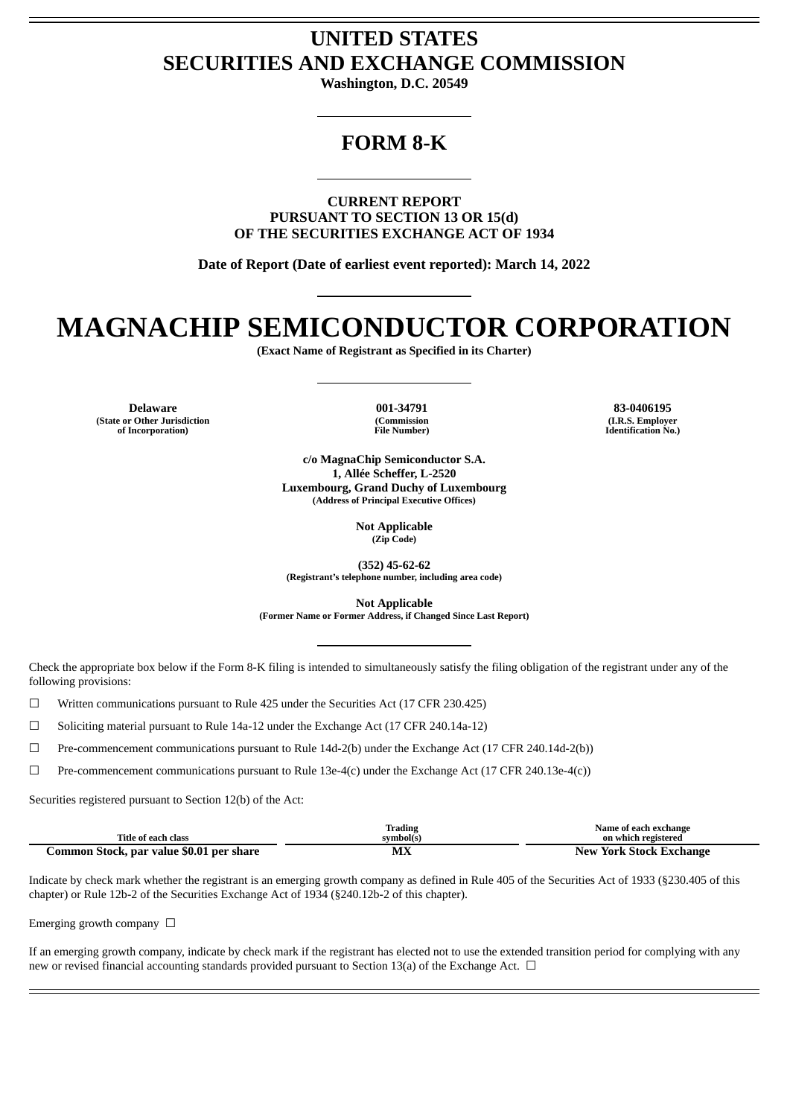# **UNITED STATES SECURITIES AND EXCHANGE COMMISSION**

**Washington, D.C. 20549**

# **FORM 8-K**

**CURRENT REPORT PURSUANT TO SECTION 13 OR 15(d) OF THE SECURITIES EXCHANGE ACT OF 1934**

**Date of Report (Date of earliest event reported): March 14, 2022**

# **MAGNACHIP SEMICONDUCTOR CORPORATION**

**(Exact Name of Registrant as Specified in its Charter)**

**Delaware 001-34791 83-0406195 (State or Other Jurisdiction of Incorporation)**

**(Commission File Number)**

**(I.R.S. Employer Identification No.)**

**c/o MagnaChip Semiconductor S.A. 1, Allée Scheffer, L-2520 Luxembourg, Grand Duchy of Luxembourg (Address of Principal Executive Offices)**

> **Not Applicable (Zip Code)**

**(352) 45-62-62 (Registrant's telephone number, including area code)**

**Not Applicable (Former Name or Former Address, if Changed Since Last Report)**

Check the appropriate box below if the Form 8-K filing is intended to simultaneously satisfy the filing obligation of the registrant under any of the following provisions:

☐ Written communications pursuant to Rule 425 under the Securities Act (17 CFR 230.425)

☐ Soliciting material pursuant to Rule 14a-12 under the Exchange Act (17 CFR 240.14a-12)

☐ Pre-commencement communications pursuant to Rule 14d-2(b) under the Exchange Act (17 CFR 240.14d-2(b))

☐ Pre-commencement communications pursuant to Rule 13e-4(c) under the Exchange Act (17 CFR 240.13e-4(c))

Securities registered pursuant to Section 12(b) of the Act:

|                                          | trading    | Name of each exchange      |
|------------------------------------------|------------|----------------------------|
| Title of each class                      | symbol(s   | on which registered        |
| Common Stock, par value \$0.01 per share | м٣<br>IVLA | York Stock Exchange<br>New |

Indicate by check mark whether the registrant is an emerging growth company as defined in Rule 405 of the Securities Act of 1933 (§230.405 of this chapter) or Rule 12b-2 of the Securities Exchange Act of 1934 (§240.12b-2 of this chapter).

Emerging growth company  $\Box$ 

If an emerging growth company, indicate by check mark if the registrant has elected not to use the extended transition period for complying with any new or revised financial accounting standards provided pursuant to Section 13(a) of the Exchange Act.  $\Box$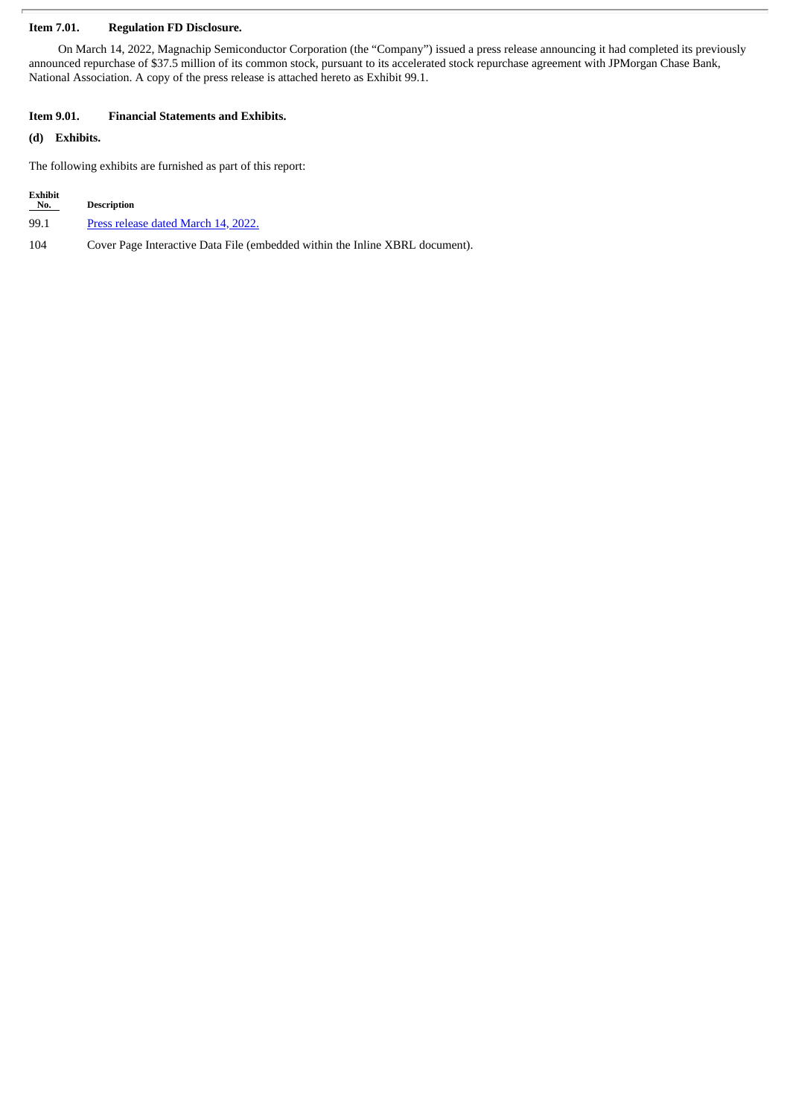## **Item 7.01. Regulation FD Disclosure.**

On March 14, 2022, Magnachip Semiconductor Corporation (the "Company") issued a press release announcing it had completed its previously announced repurchase of \$37.5 million of its common stock, pursuant to its accelerated stock repurchase agreement with JPMorgan Chase Bank, National Association. A copy of the press release is attached hereto as Exhibit 99.1.

## **Item 9.01. Financial Statements and Exhibits.**

## **(d) Exhibits.**

The following exhibits are furnished as part of this report:

| <b>Exhibit</b><br>No. | <b>Description</b>                                                           |
|-----------------------|------------------------------------------------------------------------------|
| 99.1                  | Press release dated March 14, 2022.                                          |
| 104                   | Cover Page Interactive Data File (embedded within the Inline XBRL document). |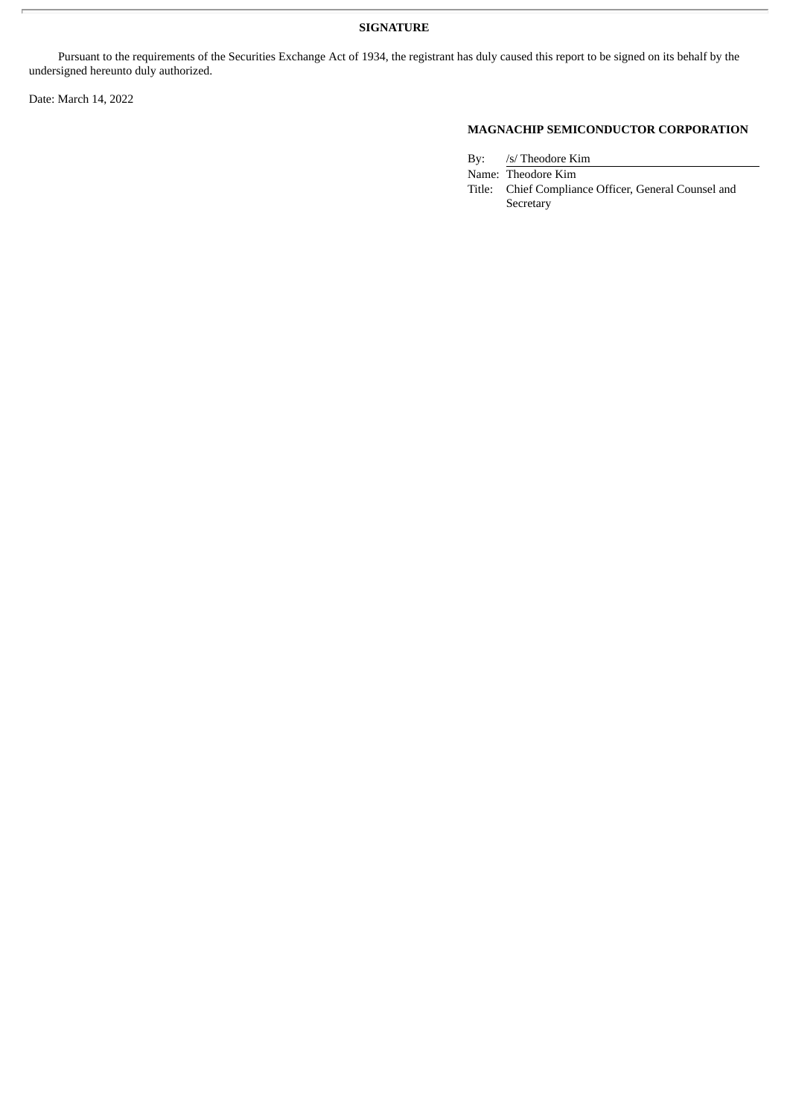# **SIGNATURE**

Pursuant to the requirements of the Securities Exchange Act of 1934, the registrant has duly caused this report to be signed on its behalf by the undersigned hereunto duly authorized.

Date: March 14, 2022

# **MAGNACHIP SEMICONDUCTOR CORPORATION**

By: /s/ Theodore Kim

Name: Theodore Kim Title: Chief Compliance Officer, General Counsel and Secretary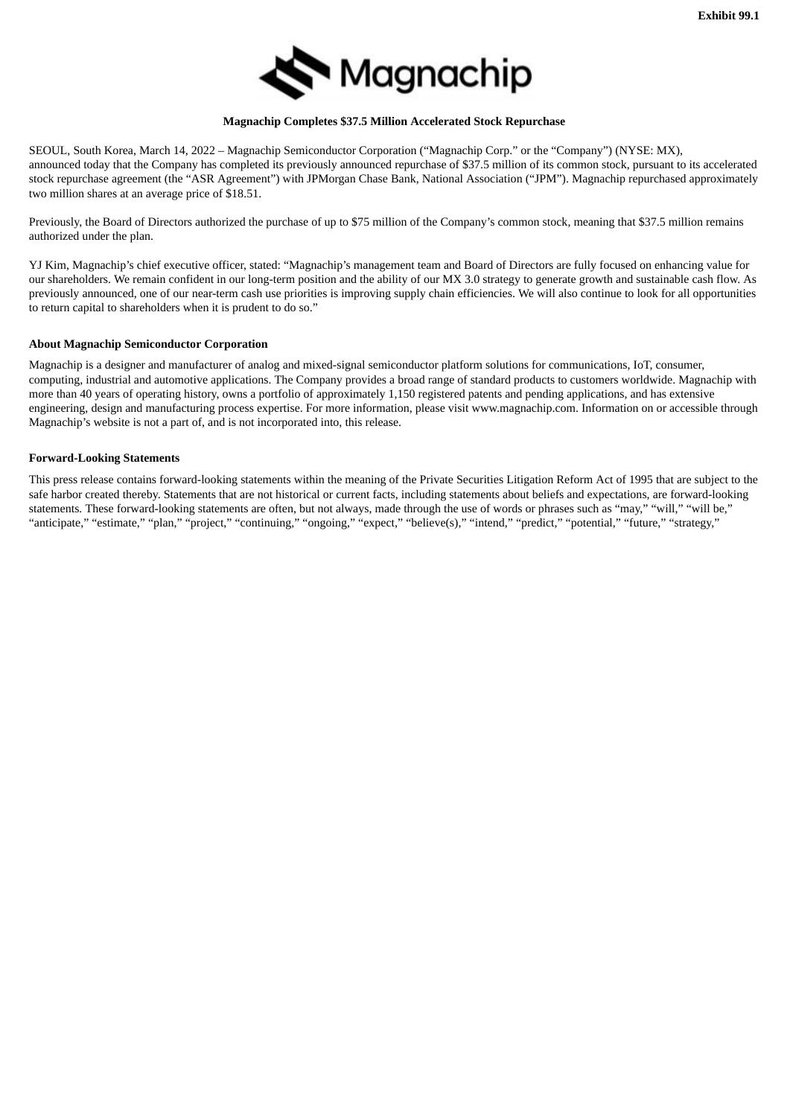

#### **Magnachip Completes \$37.5 Million Accelerated Stock Repurchase**

<span id="page-3-0"></span>SEOUL, South Korea, March 14, 2022 – Magnachip Semiconductor Corporation ("Magnachip Corp." or the "Company") (NYSE: MX), announced today that the Company has completed its previously announced repurchase of \$37.5 million of its common stock, pursuant to its accelerated stock repurchase agreement (the "ASR Agreement") with JPMorgan Chase Bank, National Association ("JPM"). Magnachip repurchased approximately two million shares at an average price of \$18.51.

Previously, the Board of Directors authorized the purchase of up to \$75 million of the Company's common stock, meaning that \$37.5 million remains authorized under the plan.

YJ Kim, Magnachip's chief executive officer, stated: "Magnachip's management team and Board of Directors are fully focused on enhancing value for our shareholders. We remain confident in our long-term position and the ability of our MX 3.0 strategy to generate growth and sustainable cash flow. As previously announced, one of our near-term cash use priorities is improving supply chain efficiencies. We will also continue to look for all opportunities to return capital to shareholders when it is prudent to do so."

#### **About Magnachip Semiconductor Corporation**

Magnachip is a designer and manufacturer of analog and mixed-signal semiconductor platform solutions for communications, IoT, consumer, computing, industrial and automotive applications. The Company provides a broad range of standard products to customers worldwide. Magnachip with more than 40 years of operating history, owns a portfolio of approximately 1,150 registered patents and pending applications, and has extensive engineering, design and manufacturing process expertise. For more information, please visit www.magnachip.com. Information on or accessible through Magnachip's website is not a part of, and is not incorporated into, this release.

#### **Forward-Looking Statements**

This press release contains forward-looking statements within the meaning of the Private Securities Litigation Reform Act of 1995 that are subject to the safe harbor created thereby. Statements that are not historical or current facts, including statements about beliefs and expectations, are forward-looking statements. These forward-looking statements are often, but not always, made through the use of words or phrases such as "may," "will," "will be," "anticipate," "estimate," "plan," "project," "continuing," "ongoing," "expect," "believe(s)," "intend," "predict," "potential," "future," "strategy,"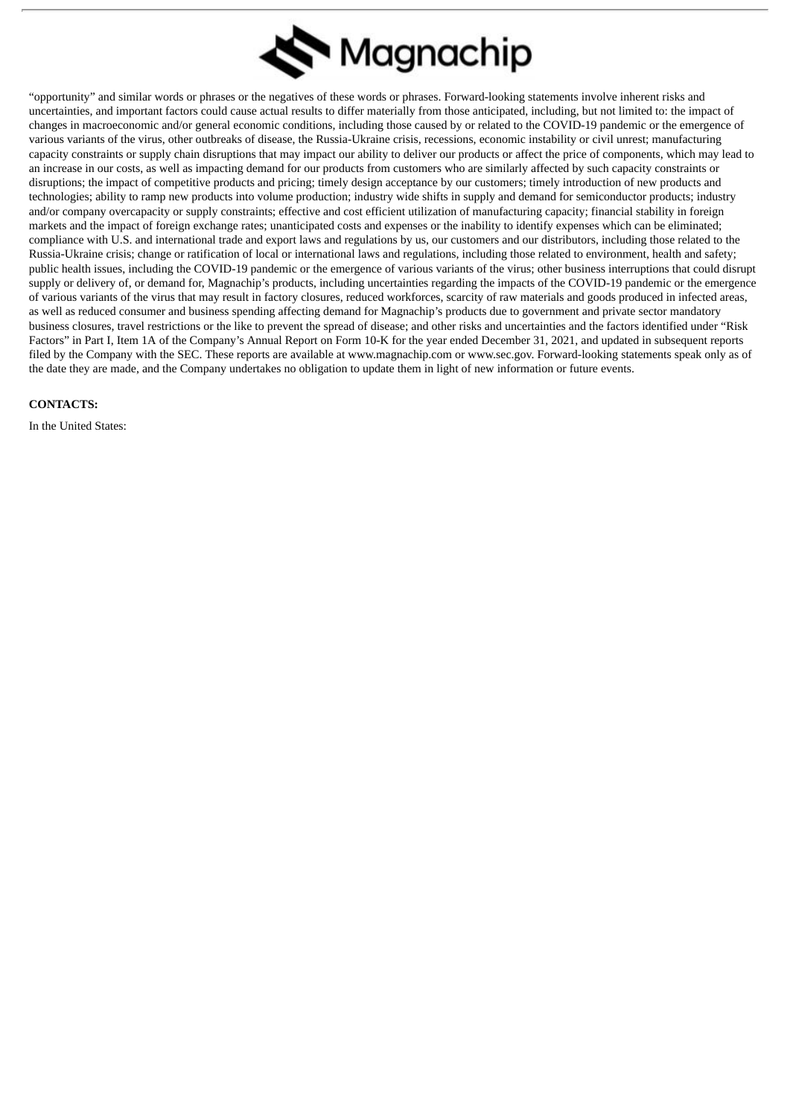

"opportunity" and similar words or phrases or the negatives of these words or phrases. Forward-looking statements involve inherent risks and uncertainties, and important factors could cause actual results to differ materially from those anticipated, including, but not limited to: the impact of changes in macroeconomic and/or general economic conditions, including those caused by or related to the COVID-19 pandemic or the emergence of various variants of the virus, other outbreaks of disease, the Russia-Ukraine crisis, recessions, economic instability or civil unrest; manufacturing capacity constraints or supply chain disruptions that may impact our ability to deliver our products or affect the price of components, which may lead to an increase in our costs, as well as impacting demand for our products from customers who are similarly affected by such capacity constraints or disruptions; the impact of competitive products and pricing; timely design acceptance by our customers; timely introduction of new products and technologies; ability to ramp new products into volume production; industry wide shifts in supply and demand for semiconductor products; industry and/or company overcapacity or supply constraints; effective and cost efficient utilization of manufacturing capacity; financial stability in foreign markets and the impact of foreign exchange rates; unanticipated costs and expenses or the inability to identify expenses which can be eliminated; compliance with U.S. and international trade and export laws and regulations by us, our customers and our distributors, including those related to the Russia-Ukraine crisis; change or ratification of local or international laws and regulations, including those related to environment, health and safety; public health issues, including the COVID-19 pandemic or the emergence of various variants of the virus; other business interruptions that could disrupt supply or delivery of, or demand for, Magnachip's products, including uncertainties regarding the impacts of the COVID-19 pandemic or the emergence of various variants of the virus that may result in factory closures, reduced workforces, scarcity of raw materials and goods produced in infected areas, as well as reduced consumer and business spending affecting demand for Magnachip's products due to government and private sector mandatory business closures, travel restrictions or the like to prevent the spread of disease; and other risks and uncertainties and the factors identified under "Risk Factors" in Part I, Item 1A of the Company's Annual Report on Form 10-K for the year ended December 31, 2021, and updated in subsequent reports filed by the Company with the SEC. These reports are available at www.magnachip.com or www.sec.gov. Forward-looking statements speak only as of the date they are made, and the Company undertakes no obligation to update them in light of new information or future events.

#### **CONTACTS:**

In the United States: